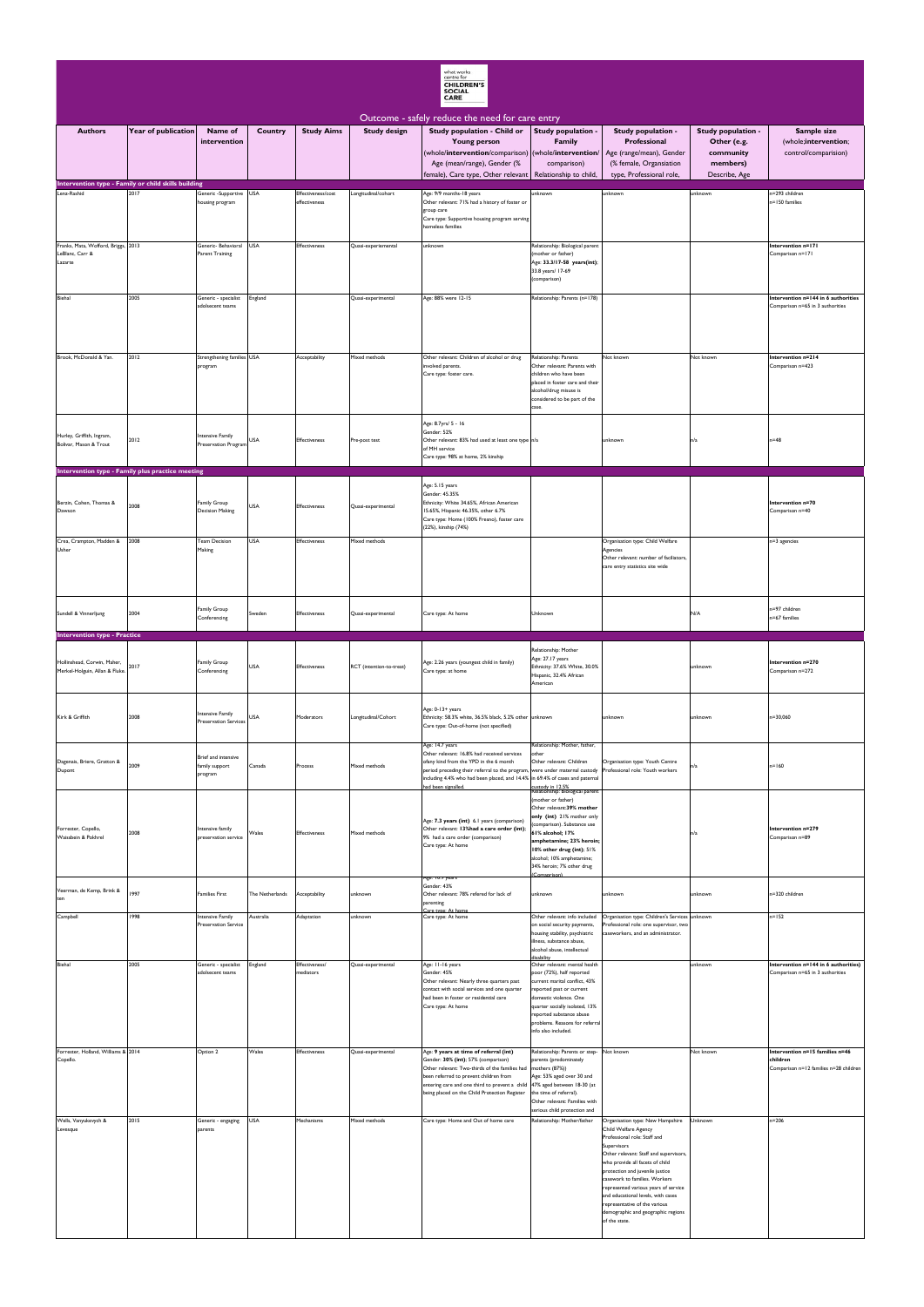|                                                                                       |                     |                                                         |                 |                                     |                          | what works<br>centre for<br><b>CHILDREN'S</b><br><b>SOCIAL</b><br>CARE                                                                                                                                                                                                                                  |                                                                                                                                                                                                                                                                          |                                                                                                                                                                                                                                                                                                                                                                                                                                |                                                                             |                                                                                       |
|---------------------------------------------------------------------------------------|---------------------|---------------------------------------------------------|-----------------|-------------------------------------|--------------------------|---------------------------------------------------------------------------------------------------------------------------------------------------------------------------------------------------------------------------------------------------------------------------------------------------------|--------------------------------------------------------------------------------------------------------------------------------------------------------------------------------------------------------------------------------------------------------------------------|--------------------------------------------------------------------------------------------------------------------------------------------------------------------------------------------------------------------------------------------------------------------------------------------------------------------------------------------------------------------------------------------------------------------------------|-----------------------------------------------------------------------------|---------------------------------------------------------------------------------------|
| <b>Authors</b>                                                                        | Year of publication | Name of<br>intervention                                 | Country         | <b>Study Aims</b>                   | <b>Study design</b>      | Outcome - safely reduce the need for care entry<br>Study population - Child or<br><b>Young person</b><br>(whole/intervention/comparison) (whole/intervention/<br>Age (mean/range), Gender (%<br>female), Care type, Other relevant   Relationship to child,                                             | Study population -<br><b>Family</b><br>comparison)                                                                                                                                                                                                                       | Study population -<br>Professional<br>Age (range/mean), Gender<br>(% female, Organsiation<br>type, Professional role,                                                                                                                                                                                                                                                                                                          | Study population -<br>Other (e.g.<br>community<br>members)<br>Describe, Age | Sample size<br>(whole;intervention;<br>control/comparision)                           |
| Intervention type - Family or child skills building<br>Lenz-Rashid                    | 2017                | Generic - Supportive USA<br>housing program             |                 | Effectiveness/cost<br>effectiveness | Longitudinal/cohort      | Age: 9/9 months-18 years<br>Other relevant: 71% had a history of foster or<br>group care<br>Care type: Supportive housing program serving<br>homeless families                                                                                                                                          | unknown                                                                                                                                                                                                                                                                  | unknown                                                                                                                                                                                                                                                                                                                                                                                                                        | unknown                                                                     | n=293 children<br>n=150 families                                                      |
| Franks, Mata, Wofford, Briggs, 2013<br>LeBlanc, Carr &<br>Lazarte                     |                     | Generic- Behavioral USA<br><b>Parent Training</b>       |                 | <b>Effectiveness</b>                | Quasi-experiemental      | unknown                                                                                                                                                                                                                                                                                                 | Relationship: Biological parent<br>(mother or father)<br>Age: 33.3/17-58 years(int);<br>33.8 years/ 17-69<br>(comparison)                                                                                                                                                |                                                                                                                                                                                                                                                                                                                                                                                                                                |                                                                             | Intervention n=171<br>Comparison n=171                                                |
| Biehal                                                                                | 2005                | Generic - specialist<br>adolsecent teams                | England         |                                     | Quasi-experimental       | Age: 88% were 12-15                                                                                                                                                                                                                                                                                     | Relationship: Parents (n=178)                                                                                                                                                                                                                                            |                                                                                                                                                                                                                                                                                                                                                                                                                                |                                                                             | Intervention n=144 in 6 authorities<br>Comparison n=65 in 3 authorities               |
| Brook, McDonald & Yan.                                                                | 2012                | Strengthening families USA<br>program                   |                 | Acceptability                       | Mixed methods            | Other relevant: Children of alcohol or drug<br>involved parents.<br>Care type: foster care.                                                                                                                                                                                                             | Relationship: Parents<br>Other relevant: Parents with<br>children who have been<br>placed in foster care and their<br>alcohol/drug misuse is<br>considered to be part of the<br>case.                                                                                    | Not known                                                                                                                                                                                                                                                                                                                                                                                                                      | Not known                                                                   | Intervention n=214<br>Comparison n=423                                                |
| Hurley, Griffith, Ingram,<br>Bolivar, Mason & Trout                                   | 2012                | Intensive Family<br>Preservation Program                | <b>USA</b>      | Effectiveness                       | Pre-post test            | Age: 8.7yrs/ 5 - 16<br>Gender: 52%<br>Other relevant: 83% had used at least one type n/a<br>of MH service<br>Care type: 98% at home, 2% kinship                                                                                                                                                         |                                                                                                                                                                                                                                                                          | unknown                                                                                                                                                                                                                                                                                                                                                                                                                        | n/a                                                                         | $n=48$                                                                                |
| Intervention type - Family plus practice meeting<br>Berzin, Cohen, Thomas &<br>Dawson | 2008                | Family Group<br><b>Decision Making</b>                  | <b>USA</b>      | <b>Effectiveness</b>                | Quasi-experimental       | Age: 5.15 years<br>Gender: 45.35%<br>Ethnicity: White 34.65%, African American<br>15.65%, Hispanic 46.35%, other 6.7%<br>Care type: Home (100% Fresno), foster care<br>(22%), kinship (74%)                                                                                                             |                                                                                                                                                                                                                                                                          |                                                                                                                                                                                                                                                                                                                                                                                                                                |                                                                             | Intervention n=70<br>Comparison n=40                                                  |
| Crea, Crampton, Madden &<br>Usher                                                     | 2008                | <b>Team Decision</b><br>Making                          | <b>USA</b>      | Effectiveness                       | Mixed methods            |                                                                                                                                                                                                                                                                                                         |                                                                                                                                                                                                                                                                          | Organisation type: Child Welfare<br>Agencies<br>Other relevant: number of faciliators,<br>care entry statistics site wide                                                                                                                                                                                                                                                                                                      |                                                                             | n=3 agencies                                                                          |
| Sundell & Vinnerljung<br><b>Intervention type - Practice</b>                          | 2004                | Family Group<br>Conferencing                            | Sweden          | Effectiveness                       | Quasi-experimental       | Care type: At home                                                                                                                                                                                                                                                                                      | Unknown                                                                                                                                                                                                                                                                  |                                                                                                                                                                                                                                                                                                                                                                                                                                | N/A                                                                         | n=97 children<br>n=67 families                                                        |
| Hollinshead, Corwin, Maher,<br>Merkel-Holguin, Allan & Fluke.                         | 2017                | Family Group<br>Conferencing                            | <b>USA</b>      | Effectiveness                       | RCT (intention-to-treat) | Age: 2.26 years (youngest child in family)<br>Care type: at home                                                                                                                                                                                                                                        | Relationship: Mother<br>Age: 27.17 years<br>Ethnicity: 37.6% White, 30.0%<br>Hispanic, 32.4% African<br>American                                                                                                                                                         |                                                                                                                                                                                                                                                                                                                                                                                                                                | unknown                                                                     | Intervention n=270<br>Comparison n=272                                                |
| Kirk & Griffith                                                                       | 2008                | <b>Intensive Family</b><br><b>Preservation Services</b> | <b>USA</b>      | Moderators                          | Longitudinal/Cohort      | Age: 0-13+ years<br>Ethnicity: 58.3% white, 36.5% black, 5.2% other unknown<br>Care type: Out-of-home (not specified)                                                                                                                                                                                   |                                                                                                                                                                                                                                                                          | unknown                                                                                                                                                                                                                                                                                                                                                                                                                        | unknown                                                                     | n=30,060                                                                              |
| Dagenais, Briere, Gratton &<br>Dupont                                                 | 2009                | Brief and intensive<br>family support<br>program        | Canada          | Process                             | Mixed methods            | Age: 14.7 years<br>Other relevant: 16.8% had received services<br>ofany kind from the YPD in the 6 month<br>period preceding their referral to the program, were under maternal custody<br>including 4.4% who had been placed, and 14.4% in 69.4% of cases and paternal<br>had been signalled.          | Relationship: Mother, father,<br>other<br>Other relevant: Children<br>custody in 12.5%<br>Relationship: Biological parent                                                                                                                                                | Organisation type: Youth Centre<br>Professional role: Youth workers                                                                                                                                                                                                                                                                                                                                                            | n/a                                                                         | $n = 160$                                                                             |
| Forrester, Copello,<br>Waissbein & Pokhrel                                            | 2008                | Intensive family<br>preservation service                | Wales           | <b>Effectiveness</b>                | Mixed methods            | Age: 7.3 years (int) 6.1 years (comparison)<br>Other relevant: 13%had a care order (int)<br>9% had a care order (comparison)<br>Care type: At home                                                                                                                                                      | (mother or father)<br>Other relevant: 39% mother<br>only (int) 21% mother only<br>(comparison). Substance use<br>61% alcohol; 17%<br>amphetamine; 23% heroin;<br>10% other drug (int); 51%<br>alcohol; 10% amphetamine;<br>34% heroin; 7% other drug                     |                                                                                                                                                                                                                                                                                                                                                                                                                                | n/a                                                                         | Intervention n=279<br>Comparison n=89                                                 |
| Veerman, de Kemp, Brink &<br>ten                                                      | 1997                | <b>Families First</b>                                   | The Netherlands | Acceptability                       | unknown                  | Age: 10.9 years<br>Gender: 43%<br>Other relevant: 78% refered for lack of<br>parenting                                                                                                                                                                                                                  | (Comaprison)<br>unknown                                                                                                                                                                                                                                                  | unknown                                                                                                                                                                                                                                                                                                                                                                                                                        | unknown                                                                     | n=320 children                                                                        |
| Campbell                                                                              | 1998                | <b>Intensive Family</b><br><b>Preservation Service</b>  | Australia       | Adaptation                          | unknown                  | Care type: At home                                                                                                                                                                                                                                                                                      | Other relevant: info included<br>on social security payments,<br>housing stability, psychiatric<br>illness, substance abuse,<br>alcohol abuse, intellectual<br>disability                                                                                                | Organisation type: Children's Services unknown<br>Professional role: one supervisor, two<br>caseworkers, and an administrator.                                                                                                                                                                                                                                                                                                 |                                                                             | $n = 152$                                                                             |
| Biehal                                                                                | 2005                | Generic - specialist<br>adolsecent teams                | England         | Effectiveness/<br>mediators         | Quasi-experimental       | Age: 11-16 years<br>Gender: 45%<br>Other relevant: Nearly three quarters past<br>contact with social services and one quarter<br>had been in foster or residential care<br>Care type: At home                                                                                                           | Other relevant: mental health<br>poor (72%), half reported<br>current marital conflict, 43%<br>reported past or current<br>domestic violence. One<br>quarter socially isolated, 13%<br>reported substance abuse<br>problems. Reasons for referral<br>info also included. |                                                                                                                                                                                                                                                                                                                                                                                                                                | unknown                                                                     | Intervention n=144 in 6 authorities)<br>Comparison n=65 in 3 authorities              |
| Forrester, Holland, Williams & 2014<br>Copello.                                       |                     | Option 2                                                | Wales           | <b>Effectiveness</b>                | Quasi-experimental       | Age: 9 years at time of referral (int)<br>Gender: 30% (int); 57% (comparison)<br>Other relevant: Two-thirds of the families had<br>been referred to prevent children from<br>entering care and one third to prevent a child 47% aged between 18-30 (at<br>being placed on the Child Protection Register | Relationship: Parents or step-<br>parents (predominately<br>mothers (87%))<br>Age: 53% aged over 30 and<br>the time of referral).<br>Other relevant: Families with<br>serious child protection and                                                                       | Not known                                                                                                                                                                                                                                                                                                                                                                                                                      | Not known                                                                   | Intervention n=15 families n=46<br>children<br>Comparison n=12 families n=28 children |
| Wells, Vanyukevych &<br>Levesque                                                      | 2015                | Generic - engaging<br>parents                           | <b>USA</b>      | Mechanisms                          | Mixed methods            | Care type: Home and Out of home care                                                                                                                                                                                                                                                                    | Relationship: Mother/father                                                                                                                                                                                                                                              | Organisation type: New Hampshire<br>Child Welfare Agency<br>Professional role: Staff and<br>Supervisors<br>Other relevant: Staff and supervisors,<br>who provide all facets of child<br>protection and juvenile justice<br>casework to families. Workers<br>represented various years of service<br>and educational levels, with cases<br>representative of the various<br>demographic and geographic regions<br>of the state. | Unknown                                                                     | $n = 206$                                                                             |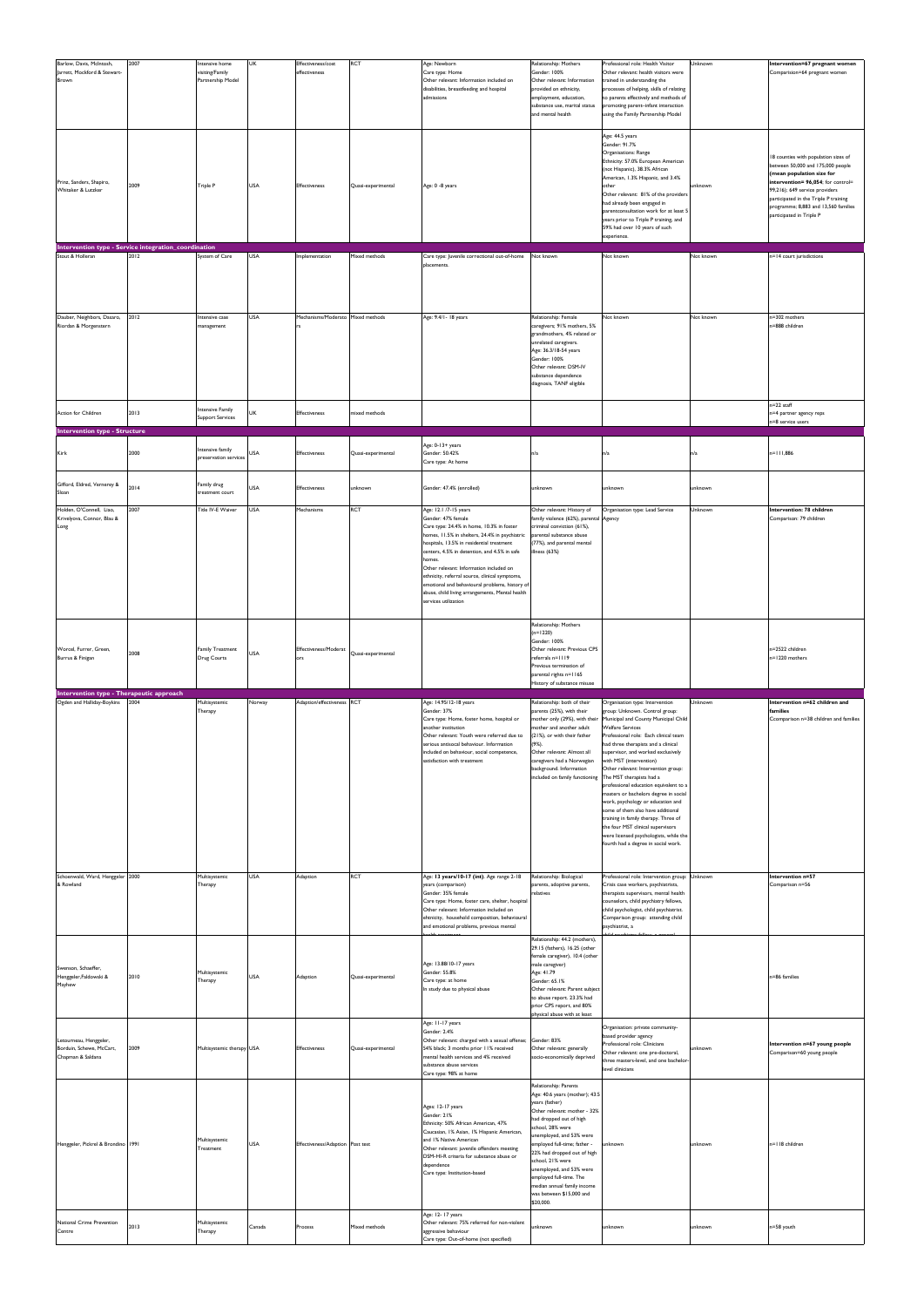| Barlow, Davis, McIntosh,<br>Jarrett, Mockford & Stewart-<br>Brown       | 2007 | ntensive home<br>visiting/Family<br>Partnership Model | <b>UK</b>  | Effectiveness/cost<br>effectiveness     | <b>RCT</b>         | Age: Newborn<br>Care type: Home<br>Other relevant: Information included on<br>disabilities, breastfeeding and hospital<br>admissions                                                                                                                                                     | Relationship: Mothers<br>Gender: 100%<br>Other relevant: Information<br>provided on ethnicity,<br>employment, education,<br>substance use, marital status<br>and mental health                                                                                                                                                                                                | Professional role: Health Visitor<br>Other relevant: health visitors were<br>trained in understanding the<br>processes of helping, skills of relating<br>to parents effectively and methods of<br>promoting parent-infant interaction<br>using the Family Partnership Model<br>Age: 44.5 years                                                                                                                                                                                                                                                                                                                                                                                      | Unknown   | Intervention=67 pregnant women<br>Comparision=64 pregnant women                                                                                                                                                                                                                             |
|-------------------------------------------------------------------------|------|-------------------------------------------------------|------------|-----------------------------------------|--------------------|------------------------------------------------------------------------------------------------------------------------------------------------------------------------------------------------------------------------------------------------------------------------------------------|-------------------------------------------------------------------------------------------------------------------------------------------------------------------------------------------------------------------------------------------------------------------------------------------------------------------------------------------------------------------------------|-------------------------------------------------------------------------------------------------------------------------------------------------------------------------------------------------------------------------------------------------------------------------------------------------------------------------------------------------------------------------------------------------------------------------------------------------------------------------------------------------------------------------------------------------------------------------------------------------------------------------------------------------------------------------------------|-----------|---------------------------------------------------------------------------------------------------------------------------------------------------------------------------------------------------------------------------------------------------------------------------------------------|
| Prinz, Sanders, Shapiro,<br>Whitaker & Lutzker                          | 2009 | Triple P                                              | <b>USA</b> | Effectiveness                           | Quasi-experimental | Age: 0 -8 years                                                                                                                                                                                                                                                                          |                                                                                                                                                                                                                                                                                                                                                                               | Gender: 91.7%<br>Organisations: Range<br>Ethnicity: 57.0% European American<br>(not Hispanic), 38.3% African<br>American, 1.3% Hispanic, and 3.4%<br>other<br>Other relevant: 81% of the providers<br>had already been engaged in<br>parentconsultation work for at least 5<br>years prior to Triple P training, and<br>59% had over 10 years of such<br>experience.                                                                                                                                                                                                                                                                                                                | unknown   | 18 counties with population sizes of<br>between 50,000 and 175,000 people<br>(mean population size for<br>intervention= 96,054; for control=<br>99,216); 649 service providers<br>participated in the Triple P training<br>programme; 8,883 and 13,560 families<br>participated in Triple P |
| Intervention type - Service integration_coordination                    |      |                                                       |            |                                         |                    |                                                                                                                                                                                                                                                                                          |                                                                                                                                                                                                                                                                                                                                                                               |                                                                                                                                                                                                                                                                                                                                                                                                                                                                                                                                                                                                                                                                                     |           |                                                                                                                                                                                                                                                                                             |
| Stout & Holleran                                                        | 2012 | System of Care                                        | <b>USA</b> | Implementation                          | Mixed methods      | Care type: Juvenile correctional out-of-home<br>placements.                                                                                                                                                                                                                              | Not known                                                                                                                                                                                                                                                                                                                                                                     | Not known                                                                                                                                                                                                                                                                                                                                                                                                                                                                                                                                                                                                                                                                           | Not known | n=14 court jurisdictions                                                                                                                                                                                                                                                                    |
| Dauber, Neighbors, Dasaro,<br>Riordan & Morgenstern                     | 2012 | Intensive case<br>management                          | <b>USA</b> | Mechanisms/Moderato Mixed methods<br>rs |                    | Age: 9.4/1-18 years                                                                                                                                                                                                                                                                      | Relationship: Female<br>caregivers; 91% mothers, 5%<br>grandmothers, 4% related or<br>unrelated caregivers.<br>Age: 36.3/18-54 years<br>Gender: 100%<br>Other relevant: DSM-IV<br>substance dependence<br>diagnosis, TANF eligible                                                                                                                                            | Not known                                                                                                                                                                                                                                                                                                                                                                                                                                                                                                                                                                                                                                                                           | Not known | n=302 mothers<br>n=888 children                                                                                                                                                                                                                                                             |
| Action for Children                                                     | 2013 | ntensive Family<br><b>Support Services</b>            | UK         | <b>Effectiveness</b>                    | mixed methods      |                                                                                                                                                                                                                                                                                          |                                                                                                                                                                                                                                                                                                                                                                               |                                                                                                                                                                                                                                                                                                                                                                                                                                                                                                                                                                                                                                                                                     |           | n=22 staff<br>n=4 partner agency reps<br>n=8 service users                                                                                                                                                                                                                                  |
| <b>Intervention type - Structure</b>                                    |      |                                                       |            |                                         |                    |                                                                                                                                                                                                                                                                                          |                                                                                                                                                                                                                                                                                                                                                                               |                                                                                                                                                                                                                                                                                                                                                                                                                                                                                                                                                                                                                                                                                     |           |                                                                                                                                                                                                                                                                                             |
| Kirk                                                                    | 2000 | ntensive family<br>preservation services              | USA        | <b>Effectiveness</b>                    | Quasi-experimental | Age: 0-13+ years<br>Gender: 50.42%<br>Care type: At home                                                                                                                                                                                                                                 | n/a                                                                                                                                                                                                                                                                                                                                                                           | n/a                                                                                                                                                                                                                                                                                                                                                                                                                                                                                                                                                                                                                                                                                 | n/a       | n=111,886                                                                                                                                                                                                                                                                                   |
| Gifford, Eldred, Vernerey &<br>Sloan                                    | 2014 | Family drug<br>reatment court                         | <b>USA</b> | <b>Effectiveness</b>                    | unknown            | Gender: 47.4% (enrolled)                                                                                                                                                                                                                                                                 | unknown                                                                                                                                                                                                                                                                                                                                                                       | unknown                                                                                                                                                                                                                                                                                                                                                                                                                                                                                                                                                                                                                                                                             | unknown   |                                                                                                                                                                                                                                                                                             |
| Holden, O'Connell, Liao,<br>Krivelyova, Connor, Blau &<br>Long          | 2007 | Title IV-E Waiver                                     | <b>USA</b> | Mechanisms                              | <b>RCT</b>         | Age: 12.1 /7-15 years<br>Gender: 47% female<br>Care type: 24.4% in home, 10.3% in foster<br>homes, 11.5% in shelters, 24.4% in psychiatric parental substance abuse<br>hospitals, 13.5% in residential treatment                                                                         | Other relevant: History of<br>family violence (62%), parental Agency<br>criminal conviction (61%),<br>(77%), and parental mental                                                                                                                                                                                                                                              | Organisation type: Lead Service                                                                                                                                                                                                                                                                                                                                                                                                                                                                                                                                                                                                                                                     | Unknown   | Intervention: 78 children<br>Comparison: 79 children                                                                                                                                                                                                                                        |
|                                                                         |      |                                                       |            |                                         |                    | centers, 4.5% in detention, and 4.5% in safe<br>homes.<br>Other relevant: Information included on<br>ethnicity, referral source, clinical symptoms,<br>emotional and behavioural problems, history of<br>abuse, child living arrangements, Mental health<br>services utilization         | illness (63%)                                                                                                                                                                                                                                                                                                                                                                 |                                                                                                                                                                                                                                                                                                                                                                                                                                                                                                                                                                                                                                                                                     |           |                                                                                                                                                                                                                                                                                             |
| Worcel, Furrer, Green,<br>Burrus & Finigan                              | 2008 | <b>Family Treatment</b><br>Drug Courts                | <b>USA</b> | Effectiveness/Moderat<br>lors           | Quasi-experimental |                                                                                                                                                                                                                                                                                          | Relationship: Mothers<br>$(n=1220)$<br>Gender: 100%<br>Other relevant: Previous CPS<br>referrals n=1119                                                                                                                                                                                                                                                                       |                                                                                                                                                                                                                                                                                                                                                                                                                                                                                                                                                                                                                                                                                     |           | n=2522 children<br>n=1220 mothers                                                                                                                                                                                                                                                           |
|                                                                         |      |                                                       |            |                                         |                    |                                                                                                                                                                                                                                                                                          | Previous termination of<br>parental rights n=1165<br>History of substance misuse                                                                                                                                                                                                                                                                                              |                                                                                                                                                                                                                                                                                                                                                                                                                                                                                                                                                                                                                                                                                     |           |                                                                                                                                                                                                                                                                                             |
| Intervention type - Therapeutic approach<br>Ogden and Halliday-Boykins  | 2004 |                                                       |            |                                         |                    | Age: 14.95/12-18 years                                                                                                                                                                                                                                                                   |                                                                                                                                                                                                                                                                                                                                                                               |                                                                                                                                                                                                                                                                                                                                                                                                                                                                                                                                                                                                                                                                                     | Unknown   | Intervention n=62 children and                                                                                                                                                                                                                                                              |
|                                                                         |      | Multisystemic<br>Therapy                              | Norway     | Adaption/effectiveness RCT              |                    | Gender: 37%<br>Care type: Home, foster home, hospital or<br>another institution<br>Other relevant: Youth were referred due to<br>serious antisocal behaviour. Information<br>included on behaviour, social competence,<br>satisfaction with treatment                                    | Relationship: both of their<br>parents (25%), with their<br>mother only (29%), with their<br>nother and another adult<br>(21%), or with their father<br>$(9%)$ .<br>Other relevant: Almost all<br>caregivers had a Norwegian<br>background. Information<br>included on family functioning                                                                                     | Organisation type: Intervention<br>group: Unknown. Control group:<br>Municipal and County Municipal Child<br><b>Welfare Services</b><br>Professional role: Each clinical team<br>had three therapists and a clinical<br>supervisor, and worked exclusively<br>with MST (intervention)<br>Other relevant: Intervention group:<br>The MST therapists had a<br>professional education equivalent to a<br>masters or bachelors degree in social<br>work, psychology or education and<br>some of them also have additional<br>training in family therapy. Three of<br>the four MST clinical supervisors<br>were licensed psychologists, while the<br>fourth had a degree in social work. |           | families<br>Ccomparison n=38 children and families                                                                                                                                                                                                                                          |
| Schoenwald, Ward, Henggeler 2000<br>& Rowland                           |      | Multisystemic<br>Therapy                              | <b>USA</b> | Adaption                                | <b>RCT</b>         | Age: 13 years/10-17 (int). Age range 2-18<br>years (comparison)<br>Gender: 35% female<br>Care type: Home, foster care, shelter, hospital<br>Other relevant: Information included on<br>ehtnicity, household composition, behavioural<br>and emotional problems, previous mental          | Relationship: Biological<br>parents, adoptive parents,<br>relatives<br>Relationship: 44.2 (mothers),<br>29.15 (fathers), 16.25 (other<br>female caregiver), 10.4 (other                                                                                                                                                                                                       | Professional role: Intervention group: Unknown<br>Crisis case workers, psychiatrists,<br>therapists supervisors, mental health<br>counselors, child psychiatry fellows,<br>child psychologist, child psychiatrist.<br>Comparison group: attending child<br>psychiatrist, a                                                                                                                                                                                                                                                                                                                                                                                                          |           | Intervention n=57<br>Comparison n=56                                                                                                                                                                                                                                                        |
| Swenson, Schaeffer,<br>Henggeler, Faldowski &<br>Mayhew                 | 2010 | Multisystemic<br>Therapy                              | <b>USA</b> | Adaption                                | Quasi-experimental | Age: 13.88/10-17 years<br>Gender: 55.8%<br>Care type: at home<br>In study due to physical abuse<br>Age: 11-17 years                                                                                                                                                                      | male caregiver)<br>Age: 41.79<br>Gender: 65.1%<br>Other relevant: Parent subject<br>to abuse report. 23.3% had<br>prior CPS report, and 80%<br>physical abuse with at least                                                                                                                                                                                                   | Organisation: private community-                                                                                                                                                                                                                                                                                                                                                                                                                                                                                                                                                                                                                                                    |           | n=86 families                                                                                                                                                                                                                                                                               |
| Letourneau, Henggeler,<br>Borduin, Schewe, McCart,<br>Chapman & Saldana | 2009 | Multisystemic therapy USA                             |            | Effectiveness                           | Quasi-experimental | Gender: 2.4%<br>Other relevant: charged with a sexual offense; Gender: 83%<br>54% black; 3 months prior 11% received<br>mental health services and 4% received<br>substance abuse services<br>Care type: 98% at home                                                                     | Other relevant: generally<br>socio-economically deprived<br>Relationship: Parents                                                                                                                                                                                                                                                                                             | based provider agency<br>Professional role: Clinicians<br>Other relevant: one pre-doctoral,<br>three masters-level, and one bachelor-<br>level clinicians                                                                                                                                                                                                                                                                                                                                                                                                                                                                                                                           | unknown   | Intervention n=67 young people<br>Comparison=60 young people                                                                                                                                                                                                                                |
| Henggeler, Pickrel & Brondino 1991                                      |      | Multisystemic<br>Treatment                            | <b>USA</b> | Effectiveness/Adaption Post test        |                    | Ages: 12-17 years<br>Gender: 21%<br>Ethnicity: 50% African American, 47%<br>Caucasian, 1% Asian, 1% Hispanic American,<br>and 1% Native American<br>Other relevant: juvenile offenders meeting<br>DSM-HI-R criteria for substance abuse or<br>dependence<br>Care type: Institution-based | Age: 40.6 years (mother); 43.5<br>years (father)<br>Other relevant: mother - 32%<br>had dropped out of high<br>school, 28% were<br>unemployed, and 53% were<br>employed full-time; father -<br>22% had dropped out of high<br>school, 21% were<br>unemployed, and 53% were<br>employed full-time. The<br>median annual family income<br>was between \$15,000 and<br>\$20,000. | unknown                                                                                                                                                                                                                                                                                                                                                                                                                                                                                                                                                                                                                                                                             | unknown   | n=118 children                                                                                                                                                                                                                                                                              |
| National Crime Prevention<br>Centre                                     | 2013 | Multisystemic<br>Therapy                              | Canada     | Process                                 | Mixed methods      | Age: 12-17 years<br>Other relevant: 75% referred for non-violent<br>aggressive behaviour                                                                                                                                                                                                 | unknown                                                                                                                                                                                                                                                                                                                                                                       | unknown                                                                                                                                                                                                                                                                                                                                                                                                                                                                                                                                                                                                                                                                             | unknown   | n=58 youth                                                                                                                                                                                                                                                                                  |
|                                                                         |      |                                                       |            |                                         |                    | Care type: Out-of-home (not specified)                                                                                                                                                                                                                                                   |                                                                                                                                                                                                                                                                                                                                                                               |                                                                                                                                                                                                                                                                                                                                                                                                                                                                                                                                                                                                                                                                                     |           |                                                                                                                                                                                                                                                                                             |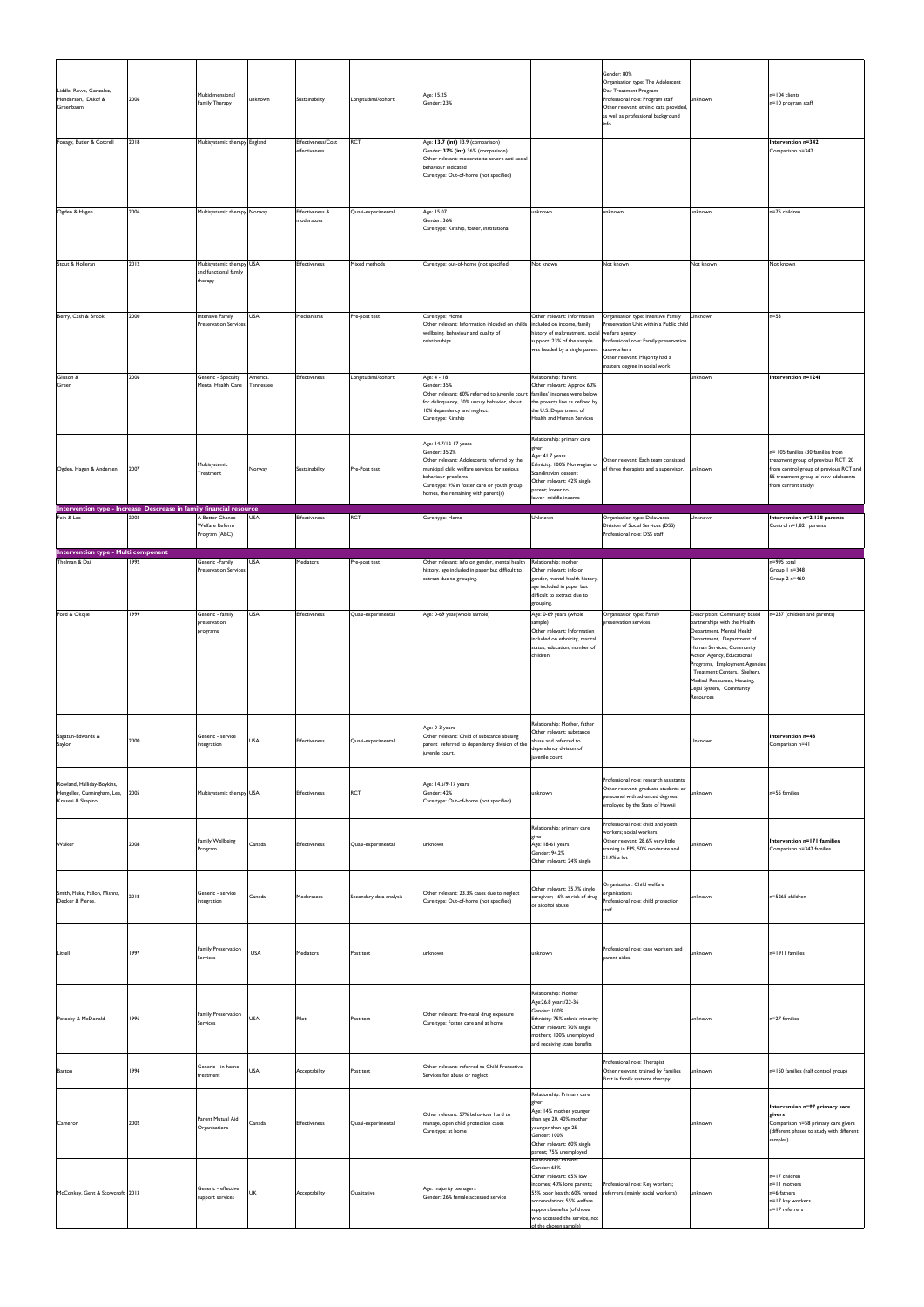| Liddle, Rowe, Gonzalez,<br>Henderson, Dakof &<br>Greenbaum                        | 2006 | Multidimensional<br><b>Family Therapy</b>                     | unknown               | Sustainability                      | Longitudinal/cohort     | Age: 15.25<br>Gender: 23%                                                                                                                                                                                                                         |                                                                                                                                                                                                                   | Gender: 80%<br>Organisation type: The Adolescent<br>Day Treatment Program<br>Professional role: Program staff<br>Other relevant: ethinic data provided,<br>as well as professional background<br>info | unknown                                                                                                                                                                                                                                                                                                                     | n=104 clients<br>n=10 program staff                                                                                                                                               |
|-----------------------------------------------------------------------------------|------|---------------------------------------------------------------|-----------------------|-------------------------------------|-------------------------|---------------------------------------------------------------------------------------------------------------------------------------------------------------------------------------------------------------------------------------------------|-------------------------------------------------------------------------------------------------------------------------------------------------------------------------------------------------------------------|-------------------------------------------------------------------------------------------------------------------------------------------------------------------------------------------------------|-----------------------------------------------------------------------------------------------------------------------------------------------------------------------------------------------------------------------------------------------------------------------------------------------------------------------------|-----------------------------------------------------------------------------------------------------------------------------------------------------------------------------------|
| Fonagy, Butler & Cottrell                                                         | 2018 | Multisystemic therapy England                                 |                       | Effectiveness/Cost<br>effectiveness | <b>RCT</b>              | Age: 13.7 (int) 13.9 (comparison)<br>Gender: 37% (int) 36% (comparison)<br>Other relevant: moderate to severe anti social<br>behaviour indicated<br>Care type: Out-of-home (not specified)                                                        |                                                                                                                                                                                                                   |                                                                                                                                                                                                       |                                                                                                                                                                                                                                                                                                                             | Intervention n=342<br>Comparison n=342                                                                                                                                            |
| Ogden & Hagen                                                                     | 2006 | Multisystemic therapy Norway                                  |                       | Effectiveness &<br>moderators       | Quasi-experimental      | Age: 15.07<br>Gender: 36%<br>Care type: Kinship, foster, institutional                                                                                                                                                                            | unknown                                                                                                                                                                                                           | unknown                                                                                                                                                                                               | unknown                                                                                                                                                                                                                                                                                                                     | n=75 children                                                                                                                                                                     |
| Stout & Holleran                                                                  | 2012 | Multisystemic therapy USA<br>and functional family<br>therapy |                       | <b>Effectiveness</b>                | Mixed methods           | Care type: out-of-home (not specified)                                                                                                                                                                                                            | Not known                                                                                                                                                                                                         | Not known                                                                                                                                                                                             | Not known                                                                                                                                                                                                                                                                                                                   | Not known                                                                                                                                                                         |
| Berry, Cash & Brook                                                               | 2000 | <b>Intensive Family</b><br><b>Preservation Services</b>       | <b>USA</b>            | Mechanisms                          | Pre-post test           | Care type: Home<br>Other relevant: Information inlcuded on childs<br>wellbeing, behaviour and quality of<br>relationships                                                                                                                         | Other relevant: Information<br>included on income, family<br>history of maltreatment, social<br>support. 23% of the sample<br>was headed by a single parent                                                       | Organisation type: Intensive Family<br>Preservation Unit within a Public child<br>welfare agency<br>Professional role: Family preservation<br>caseworkers<br>Other relevant: Majority had a           | Unknown                                                                                                                                                                                                                                                                                                                     | $n=53$                                                                                                                                                                            |
| Glisson &<br>Green                                                                | 2006 | Generic - Specialty<br>Mental Health Care                     | America.<br>Tennessee | Effectiveness                       | Longitudinal/cohort     | Age: 4 - 18<br>Gender: 35%<br>Other relevant: 60% referred to juvenile court<br>for delinquency, 30% unruly behavior, about<br>10% dependency and neglect.<br>Care type: Kinship                                                                  | Relationship: Parent<br>Other relevant: Approx 60%<br>families' incomes were below<br>the poverty line as defined by<br>the U.S. Department of<br>Health and Human Services                                       | masters degree in social work                                                                                                                                                                         | unknown                                                                                                                                                                                                                                                                                                                     | Intervention n=1241                                                                                                                                                               |
| Ogden, Hagen & Andersen                                                           | 2007 | Multisystemic<br>Treatment                                    | Norway                | Sustainability                      | Pre-Post test           | Age: 14.7/12-17 years<br>Gender: 35.2%<br>Other relevant: Adolescents referred by the<br>municipal child welfare services for serious<br>behaviour problems<br>Care type: 9% in foster care or youth group<br>homes, the remaining with parent(s) | Relationship: primary care<br>giver<br>Age: 41.7 years<br>Ethnicity: 100% Norwegian or<br>Scandinavian descent<br>Other relevant: 42% single<br>arent; lower to<br>ower-middle income                             | Other relevant: Each team consisted<br>of three therapists and a supervisor.                                                                                                                          | unknown                                                                                                                                                                                                                                                                                                                     | n= 105 families (30 families from<br>treatment group of previous RCT, 20<br>from control group of previous RCT and<br>55 treatment group of new adolscents<br>from current study) |
| Intervention type - Increase_Descrease in family financial resource<br>Fein & Lee | 2003 | A Better Chance<br>Welfare Reform<br>Program (ABC)            | <b>USA</b>            | Effectiveness                       | <b>RCT</b>              | Care type: Home                                                                                                                                                                                                                                   | Unknown                                                                                                                                                                                                           | Organisation type: Delawares<br>Division of Social Services (DSS)<br>Professional role: DSS staff                                                                                                     | Unknown                                                                                                                                                                                                                                                                                                                     | Intervention n=2,138 parents<br>Control n=1,821 parents                                                                                                                           |
| Intervention type - Multi component<br>Thelman & Dail                             | 1992 | Generic -Family<br><b>Preservation Services</b>               | <b>USA</b>            | Mediators                           | Pre-post test           | Other relevant: info on gender, mental health<br>history, age included in paper but difficult to<br>extract due to grouping.                                                                                                                      | Relationship: mother<br>Other relevant: info on<br>gender, mental health history,<br>age included in paper but<br>difficult to extract due to<br>grouping.                                                        |                                                                                                                                                                                                       |                                                                                                                                                                                                                                                                                                                             | n=995 total<br>Group I n=348<br>Group 2 n=460                                                                                                                                     |
| Ford & Okojie                                                                     | 1999 | Generic - family<br>preservation<br>programs                  | <b>USA</b>            | Effectiveness                       | Quasi-experimental      | Age: 0-69 year(whole sample)                                                                                                                                                                                                                      | Age: 0-69 years (whole<br>sample)<br>Other relevant: Information<br>included on ethnicity, marital<br>status, education, number of<br>children                                                                    | Organisation type: Family<br>preservation services                                                                                                                                                    | Description: Community based<br>partnerships with the Health<br>Department, Mental Health<br>Department, Department of<br>Human Services, Community<br>Action Agency, Educational<br>Programs, Employment Agencies<br>, Treatment Centers, Shelters,<br>Medical Resources, Housing,<br>Legal System, Community<br>Resources | n=237 (children and parents)                                                                                                                                                      |
| Sagatun-Edwards &<br>Saylor                                                       | 2000 | Generic - service<br>integration                              | <b>USA</b>            | Effectiveness                       |                         | Age: 0-3 years<br>Other relevant: Child of substance abusing                                                                                                                                                                                      | Relationship: Mother, father<br>Other relevant: substance                                                                                                                                                         |                                                                                                                                                                                                       |                                                                                                                                                                                                                                                                                                                             |                                                                                                                                                                                   |
|                                                                                   |      |                                                               |                       |                                     | Quasi-experimental      | parent referred to dependency division of the<br>juvenile court.                                                                                                                                                                                  | abuse and referred to<br>dependency division of<br>juvenile court                                                                                                                                                 |                                                                                                                                                                                                       | Unknown                                                                                                                                                                                                                                                                                                                     | Intervention n=48<br>Comparison n=41                                                                                                                                              |
| Rowland, Halliday-Boykins,<br>Hengeller, Cunningham, Lee,<br>Krusesi & Shapiro    | 2005 | Multisystemic therapy USA                                     |                       | Effectiveness                       | <b>RCT</b>              | Age: 14.5/9-17 years<br>Gender: 42%<br>Care type: Out-of-home (not specified)                                                                                                                                                                     | unknown                                                                                                                                                                                                           | Professional role: research assistants<br>Other relevant: graduate students or<br>personnel with advanced degrees<br>employed by the State of Hawaii                                                  | unknown                                                                                                                                                                                                                                                                                                                     | n=55 families                                                                                                                                                                     |
| Walker                                                                            | 2008 | <b>Family Wellbeing</b><br>Program                            | Canada                | Effectiveness                       | Quasi-experimental      | unknown                                                                                                                                                                                                                                           | Relationship: primary care<br>giver<br>Age: 18-61 years<br>Gender: 94.2%<br>Other relevant: 24% single                                                                                                            | Professional role: child and youth<br>workers; social workers<br>Other relevant: 28.6% very little<br>training in FPS, 50% moderate and<br>21.4% a lot                                                | unknown                                                                                                                                                                                                                                                                                                                     | Intervention n=171 families<br>Comparison n=342 families                                                                                                                          |
| Smith, Fluke, Fallon, Mishna,<br>Decker & Pierce.                                 | 2018 | Generic - service<br>ntegration                               | Canada                | Moderators                          | Secondary data analysis | Other relevant: 23.3% cases due to neglect<br>Care type: Out-of-home (not specified)                                                                                                                                                              | Other relevant: 35.7% single<br>caregiver; 16% at risk of drug<br>or alcohol abuse                                                                                                                                | Organisation: Child welfare<br>organisations<br>Professional role: child protection<br>staff                                                                                                          | unknown                                                                                                                                                                                                                                                                                                                     | n=5265 children                                                                                                                                                                   |
| Littell                                                                           | 1997 | <b>Family Preservation</b><br>Services                        | <b>USA</b>            | Mediators                           | Post test               | unknown                                                                                                                                                                                                                                           | unknown                                                                                                                                                                                                           | Professional role: case workers and<br>parent aides                                                                                                                                                   | unknown                                                                                                                                                                                                                                                                                                                     | n=1911 families                                                                                                                                                                   |
| Potocky & McDonald                                                                | 1996 | <b>Family Preservation</b><br>Services                        | <b>USA</b>            | Pilot                               | Post test               | Other relevant: Pre-natal drug exposure<br>Care type: Foster care and at home                                                                                                                                                                     | Relationship: Mother<br>Age: 26.8 years/22-36<br>Gender: 100%<br>Ethnicity: 75% ethnic minority<br>Other relevant: 70% single<br>mothers; 100% unemployed<br>and receiving state benefits                         |                                                                                                                                                                                                       | unknown                                                                                                                                                                                                                                                                                                                     | n=27 families                                                                                                                                                                     |
| Barton                                                                            | 1994 | Generic - in-home<br>treatment                                | <b>USA</b>            | Acceptability                       | Post test               | Other relevant: referred to Child Protective<br>Services for abuse or neglect                                                                                                                                                                     |                                                                                                                                                                                                                   | Professional role: Therapist<br>Other relevant: trained by Families<br>First in family systems therapy                                                                                                | unknown                                                                                                                                                                                                                                                                                                                     | n=150 families (half control group)                                                                                                                                               |
| Cameron                                                                           | 2002 | Parent Mutual Aid<br>Organisations                            | Canada                | Effectiveness                       | Quasi-experimental      | Other relevant: 57% behaviour hard to<br>manage, open child protection cases<br>Care type: at home                                                                                                                                                | Relationship: Primary care<br>giver<br>Age: 14% mother younger<br>than age 20, 40% mother<br>younger than age 25<br>Gender: 100%<br>Other relevant: 60% single<br>parent; 75% unemployed<br>Relationship: Parents |                                                                                                                                                                                                       | unknown                                                                                                                                                                                                                                                                                                                     | Intervention n=97 primary care<br>givers<br>Comparison n=58 primary care givers<br>(different phases to study with different<br>samples)                                          |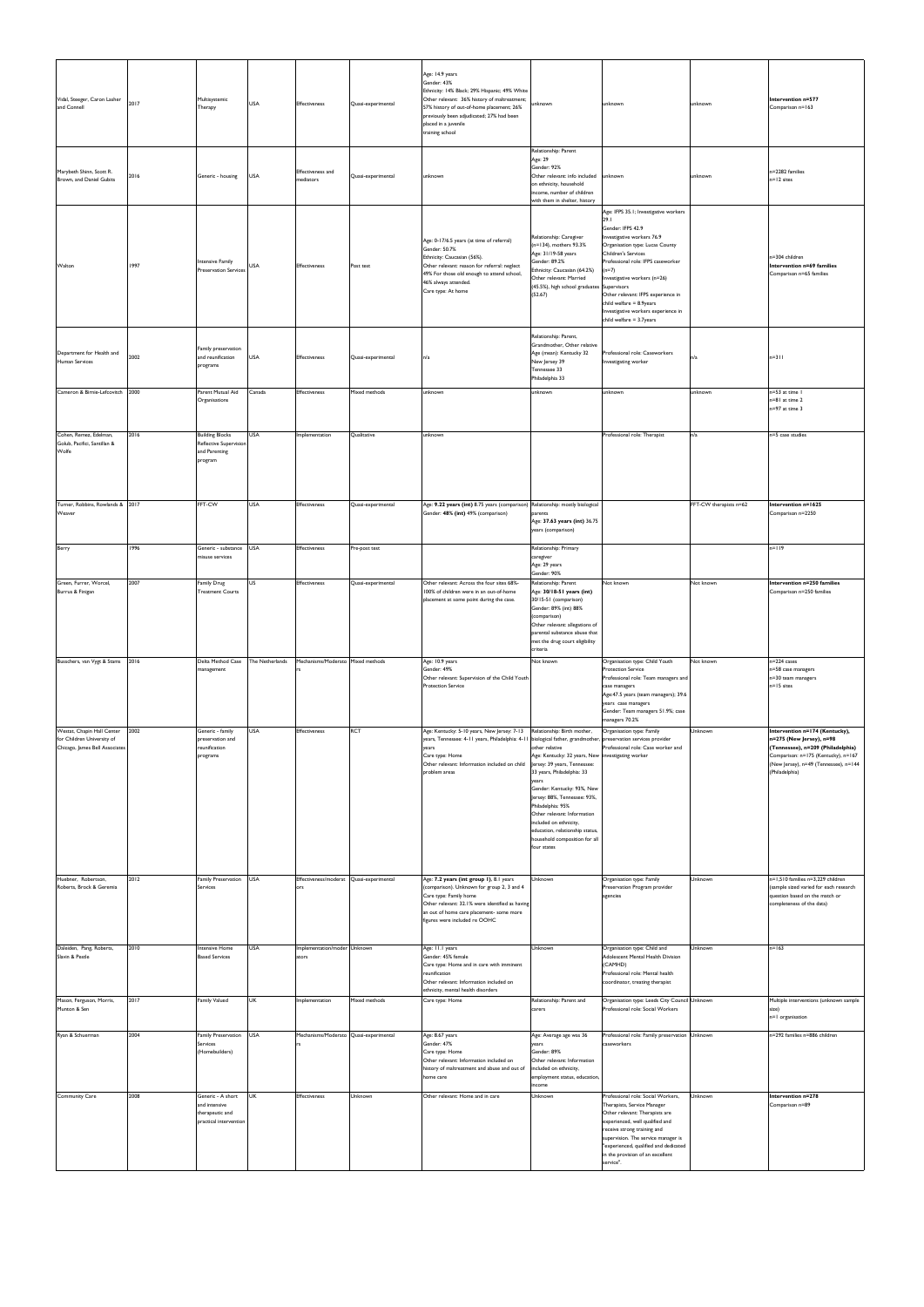| Vidal, Steeger, Caron Lasher<br>and Connell<br>Marybeth Shinn, Scott R.<br>Brown, and Daniel Gubits | 2017<br>2016 | Multisystemic<br>Therapy<br>Generic - housing                                   | <b>USA</b><br><b>USA</b> | Effectiveness<br><b>Effectiveness</b> and<br>mediators | Quasi-experimental<br>Quasi-experimental | Age: 14.9 years<br>Gender: 43%<br>Ethnicity: 14% Black; 29% Hispanic; 49% White<br>Other relevant: 36% history of maltreatment;<br>57% history of out-of-home placement; 26%<br>previously been adjudicated; 27% had been<br>placed in a juvenile<br>training school<br>unknown | ınknown<br>Relationship: Parent<br>Age: 29<br>Gender: 92%<br>Other relevant: info included<br>on ethnicity, household                                                                                                                                                                                                                                                                                                 | unknown<br>unknown                                                                                                                                                                                                                                                                                                                                                                     | unknown<br>unknown     | Intervention n=577<br>Comparison n=163<br>n=2282 families<br>$n = 12$ sites                                                                                                                       |
|-----------------------------------------------------------------------------------------------------|--------------|---------------------------------------------------------------------------------|--------------------------|--------------------------------------------------------|------------------------------------------|---------------------------------------------------------------------------------------------------------------------------------------------------------------------------------------------------------------------------------------------------------------------------------|-----------------------------------------------------------------------------------------------------------------------------------------------------------------------------------------------------------------------------------------------------------------------------------------------------------------------------------------------------------------------------------------------------------------------|----------------------------------------------------------------------------------------------------------------------------------------------------------------------------------------------------------------------------------------------------------------------------------------------------------------------------------------------------------------------------------------|------------------------|---------------------------------------------------------------------------------------------------------------------------------------------------------------------------------------------------|
|                                                                                                     |              |                                                                                 |                          |                                                        |                                          |                                                                                                                                                                                                                                                                                 | income, number of children<br>with them in shelter, history                                                                                                                                                                                                                                                                                                                                                           |                                                                                                                                                                                                                                                                                                                                                                                        |                        |                                                                                                                                                                                                   |
| Walton                                                                                              | 1997         | Intensive Family<br><b>Preservation Services</b>                                | <b>USA</b>               | Effectiveness                                          | Post test                                | Age: 0-17/6.5 years (at time of referral)<br>Gender: 50.7%<br>Ethnicity: Caucasian (56%).<br>Other relevant: reason for referral: neglect<br>49% For those old enough to attend school,<br>46% always attended.<br>Care type: At home                                           | Relationship: Caregiver<br>(n=134), mothers 93.3%<br>Age: 31/19-58 years<br>Gender: 89.2%<br>Ethnicity: Caucasian (64.2%)<br>Other relevant: Married<br>(45.5%), high school graduates Supervisors<br>(52.67)                                                                                                                                                                                                         | Age: IFPS 35.1; Investigative workers<br>29.1<br>Gender: IFPS 42.9<br>Investigative workers 76.9<br>Organisation type: Lucas County<br>Children's Services<br>Professional role: IFPS caseworker<br>$(n=7)$<br>Investigative workers (n=26)<br>Other relevant: IFPS experience in<br>child welfare $= 8.9$ years<br>Investigative workers experience in<br>child welfare $= 3.7$ years |                        | n=304 children<br>Intervention n=69 families<br>Comparison n=65 families                                                                                                                          |
| Department for Health and<br>Human Services                                                         | 2002         | Family preservation<br>and reunification<br>programs                            | <b>USA</b>               | <b>Effectiveness</b>                                   | Quasi-experimental                       | n/a                                                                                                                                                                                                                                                                             | Relationship: Parent,<br>Grandmother, Other relative<br>Age (mean): Kentucky 32<br>New Jersey 39<br>Tennessee 33<br>Philadelphia 33                                                                                                                                                                                                                                                                                   | Professional role: Caseworkers<br>Investigating worker                                                                                                                                                                                                                                                                                                                                 | n/a                    | $n = 311$                                                                                                                                                                                         |
| Cameron & Birnie-Lefcovitch                                                                         | 2000         | Parent Mutual Aid<br>Organisations                                              | Canada                   | <b>Effectiveness</b>                                   | Mixed methods                            | unknown                                                                                                                                                                                                                                                                         | unknown                                                                                                                                                                                                                                                                                                                                                                                                               | unknown                                                                                                                                                                                                                                                                                                                                                                                | unknown                | n=53 at time I<br>n=81 at time 2<br>n=97 at time 3                                                                                                                                                |
| Cohen, Remez, Edelman,<br>Golub, Pacifici, Santillan &<br>Wolfe                                     | 2016         | <b>Building Blocks</b><br>Reflective Supervision<br>and Parenting<br>program    | <b>USA</b>               | Implementation                                         | Qualitative                              | unknown                                                                                                                                                                                                                                                                         |                                                                                                                                                                                                                                                                                                                                                                                                                       | Professional role: Therapist                                                                                                                                                                                                                                                                                                                                                           | n/a                    | n=5 case studies                                                                                                                                                                                  |
| Turner, Robbins, Rowlands & 2017<br>Weaver                                                          |              | FFT-CW                                                                          | <b>USA</b>               | Effectiveness                                          | Quasi-experimental                       | Age: 9.22 years (int) 8.75 years (comparison) Relationship: mostly biological<br>Gender: 48% (int) 49% (comparison)                                                                                                                                                             | parents<br>Age: 37.63 years (int) 36.75<br>years (comparison)                                                                                                                                                                                                                                                                                                                                                         |                                                                                                                                                                                                                                                                                                                                                                                        | FFT-CW therapists n=62 | Intervention n=1625<br>Comparison n=2250                                                                                                                                                          |
| Berry                                                                                               | 1996         | Generic - substance<br>misuse services                                          | <b>USA</b>               | Effectiveness                                          | Pre-post test                            |                                                                                                                                                                                                                                                                                 | Relationship: Primary<br>caregiver<br>Age: 29 years                                                                                                                                                                                                                                                                                                                                                                   |                                                                                                                                                                                                                                                                                                                                                                                        |                        | n=119                                                                                                                                                                                             |
| Green, Furrer, Worcel,<br>Burrus & Finigan                                                          | 2007         | <b>Family Drug</b><br><b>Treatment Courts</b>                                   | US                       | Effectiveness                                          | Quasi-experimental                       | Other relevant: Across the four sites 68%-<br>100% of children were in an out-of-home<br>placement at some point during the case.                                                                                                                                               | Gender: 90%<br>Relationship: Parent<br>Age: 30/18-51 years (int)<br>30/15-51 (comparison)<br>Gender: 89% (int) 88%<br>(comparison)<br>Other relevant: allegations of<br>parental substance abuse that<br>met the drug court eligibility<br>criteria                                                                                                                                                                   | Not known                                                                                                                                                                                                                                                                                                                                                                              | Not known              | Intervention n=250 families<br>Comparison n=250 families                                                                                                                                          |
| Busschers, van Vygt & Stams                                                                         | 2016         | Delta Method Case<br>management                                                 | The Netherlands          | Mechanisms/Moderato Mixed methods                      |                                          | Age: 10.9 years<br>Gender: 49%<br>Other relevant: Supervision of the Child Youth<br><b>Protection Service</b>                                                                                                                                                                   | Not known                                                                                                                                                                                                                                                                                                                                                                                                             | Organisation type: Child Youth<br><b>Protection Service</b><br>Professional role: Team managers and<br>case managers<br>Age:47.5 years (team managers); 39.6<br>years case managers<br>Gender: Team managers 51.9%; case<br>managers 70.2%                                                                                                                                             | Not known              | n=224 cases<br>n=58 case managers<br>n=30 team managers<br>n=15 sites                                                                                                                             |
| Westat, Chapin Hall Center<br>for Children University of<br>Chicago, James Bell Associates          | 2002         | Generic - family<br>preservation and<br>reunification<br>programs               | <b>USA</b>               | Effectiveness                                          | <b>RCT</b>                               | Age: Kentucky: 5-10 years, New Jersey: 7-13<br>years, Tennessee: 4-11 years, Philadelphia: 4-11<br>years<br>Care type: Home<br>Other relevant: Information included on child<br>problem areas                                                                                   | Relationship: Birth mother,<br>biological father, grandmother<br>other relative<br>Age: Kentucky: 32 years, New<br>Jersey: 39 years, Tennessee:<br>33 years, Philadelphia: 33<br>years<br>Gender: Kentucky: 93%, New<br>Jersey: 88%, Tennessee: 93%,<br>Philadelphia: 95%<br>Other relevant: Information<br>included on ethnicity,<br>education, relationship status,<br>household composition for all<br>four states | Organisation type: Family<br>preservation services provider<br>Professional role: Case worker and<br>investigating worker                                                                                                                                                                                                                                                              | Unknown                | Intervention n=174 (Kentucky),<br>n=275 (New Jersey), n=98<br>(Tennessee), n=209 (Philadelphia)<br>Comparison: n=175 (Kentucky), n=167<br>(New Jersey), n=49 (Tennessee), n=144<br>(Philadelphia) |
| Huebner, Robertson,<br>Roberts, Brock & Geremia                                                     | 2012         | Family Preservation<br>Services                                                 | <b>USA</b>               | Effectiveness/moderat Quasi-experimental<br>ors        |                                          | Age: 7.2 years (int group 1), 8.1 years<br>(comparison). Unknown for group 2, 3 and 4<br>Care type: Family home<br>Other relevant: 32.1% were identified as having<br>an out of home care placement- some more<br>figures were included re OOHC                                 | Unknown                                                                                                                                                                                                                                                                                                                                                                                                               | Organisation type: Family<br>Preservation Program provider<br>agencies                                                                                                                                                                                                                                                                                                                 | Unknown                | n=1,510 families n=3,229 children<br>(sample sized varied for each research<br>question based on the match or<br>completeness of the data)                                                        |
| Daleiden, Pang, Roberts,<br>Slavin & Pestle                                                         | 2010         | Intensive Home<br><b>Based Services</b>                                         | <b>USA</b>               | Implementation/moder Unknown<br>ators                  |                                          | Age: 11.1 years<br>Gender: 45% female<br>Care type: Home and in care with imminent<br>reunification<br>Other relevant: Information included on<br>ethnicity, mental health disorders                                                                                            | Unknown                                                                                                                                                                                                                                                                                                                                                                                                               | Organisation type: Child and<br>Adolescent Mental Health Division<br>(CAMHD)<br>Professional role: Mental health<br>coordinator, treating therapist                                                                                                                                                                                                                                    | Unknown                | $n = 163$                                                                                                                                                                                         |
| Mason, Ferguson, Morris,<br>Munton & Sen                                                            | 2017         | <b>Family Valued</b>                                                            | <b>UK</b>                | Implementation                                         | Mixed methods                            | Care type: Home                                                                                                                                                                                                                                                                 | Relationship: Parent and<br>carers                                                                                                                                                                                                                                                                                                                                                                                    | Organisation type: Leeds City Council Unknown<br>Professional role: Social Workers                                                                                                                                                                                                                                                                                                     |                        | Multiple interventions (unknown sample<br>size)<br>n=1 organisation                                                                                                                               |
| Ryan & Schuerman                                                                                    | 2004         | Family Preservation<br>Services<br>(Homebuilders)                               | <b>USA</b>               | Mechanisms/Moderato Quasi-experimental                 |                                          | Age: 8.67 years<br>Gender: 47%<br>Care type: Home<br>Other relevant: Information included on<br>history of maltreatment and abuse and out of<br>home care                                                                                                                       | Age: Average age was 36<br>years<br>Gender: 89%<br>Other relevant: Information<br>included on ethnicity,<br>employment status, education,<br>income                                                                                                                                                                                                                                                                   | Professional role: Family preservation Unknown<br>caseworkers                                                                                                                                                                                                                                                                                                                          |                        | n=292 families n=886 children                                                                                                                                                                     |
| Community Care                                                                                      | 2008         | Generic - A short<br>and intensive<br>therapeutic and<br>practical intervention | <b>UK</b>                | Effectiveness                                          | Unknown                                  | Other relevant: Home and in care                                                                                                                                                                                                                                                | Unknown                                                                                                                                                                                                                                                                                                                                                                                                               | Professional role: Social Workers,<br>Therapists, Service Manager<br>Other relevant: Therapists are<br>experienced, well qualified and<br>receive strong training and<br>supervision. The service manager is<br>"experienced, qualified and dedicated<br>in the provision of an excellent<br>service".                                                                                 | Unknown                | Intervention n=278<br>Comparison n=89                                                                                                                                                             |